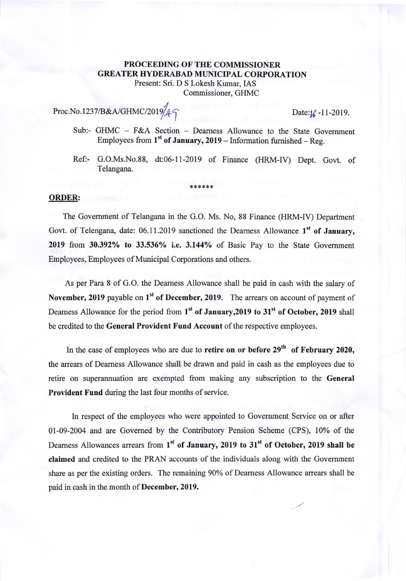## PROCEEDING OF THE COMMISSIONER **GREATER HYDERABAD MUNICIPAL CORPORATION** Present: Sri. D S Lokesh Kumar, IAS

Commissioner, GHMC

## Proc.No.1237/B&A/GHMC/2019/ $\angle$  $\sim$  Date: $\frac{1}{6}$ -11-2019.

- Sub:- GHMC F&A Section Dearness Allowance to the State Government Employees from  $1^{st}$  of January, 2019 - Information furnished - Reg.
- Ref:- G.O.Ms.No.88, dt:06-ll-2019 of Finance (HRM-IV) Dept. Govt. of Telangana.

## ORDER:

The Government of Telangana in the G.O. Ms. No, 88 Finance (HRM-IV) Department Govt. of Telengana, date: 06.11.2019 sanctioned the Dearness Allowance  $1<sup>st</sup>$  of January, 2019 from 30.392% to 33.536% i.e. 3.144% of Basic Pay to the State Government Employees, Employees of Municipal Corporations and others.

\*\*\*\*\*\*

As per Para 8 of G.O. the Deamess Allowance shall be paid in cash with the salary of November, 2019 payable on  $1<sup>st</sup>$  of December, 2019. The arrears on account of payment of Dearness Allowance for the period from  $1<sup>st</sup>$  of January, 2019 to 31 $<sup>st</sup>$  of October, 2019 shall</sup> be credited to the General Provident Fund Account of the respective employees.

In the case of employees who are due to retire on or before  $29<sup>th</sup>$  of February 2020, the arrears of Deamess Allowance shall be drawn and paid in cash as the employees due to retire on superarmuation are exempted from making any subscription to the General Provident Fund during the last four months of service.

ln respect of the employees who were appointed to Govemment Service on or after 0l-09-2004 and are Govemed by the Contributory Pension Scheme (CPS), l0% of the Dearness Allowances arrears from  $1<sup>st</sup>$  of January, 2019 to 31 $<sup>st</sup>$  of October, 2019 shall be</sup> claimed and credited to the PRAN accounts of the individuals along with the Govemment share as per the existing orders. The remaining 90% of Dearness Allowance arrears shall be paid in cash in the month of December, 2019.